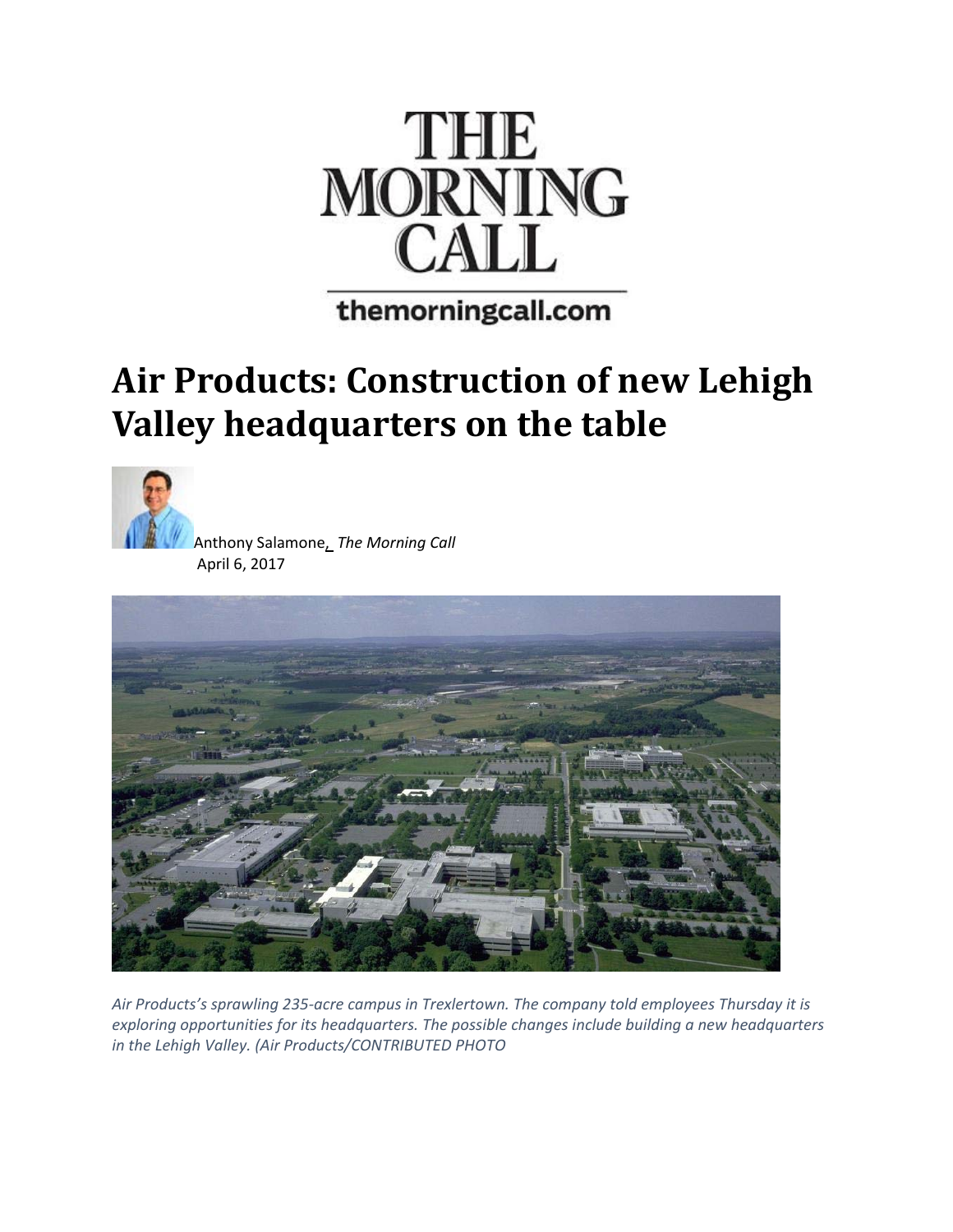

themorningcall.com

## **Air Products: Construction of new Lehigh Valley headquarters on the table**



Anthony Salamone, *The Morning Call* April 6, 2017



*Air Products's sprawling 235‐acre campus in Trexlertown. The company told employees Thursday it is exploring opportunities for its headquarters. The possible changes include building a new headquarters in the Lehigh Valley. (Air Products/CONTRIBUTED PHOTO*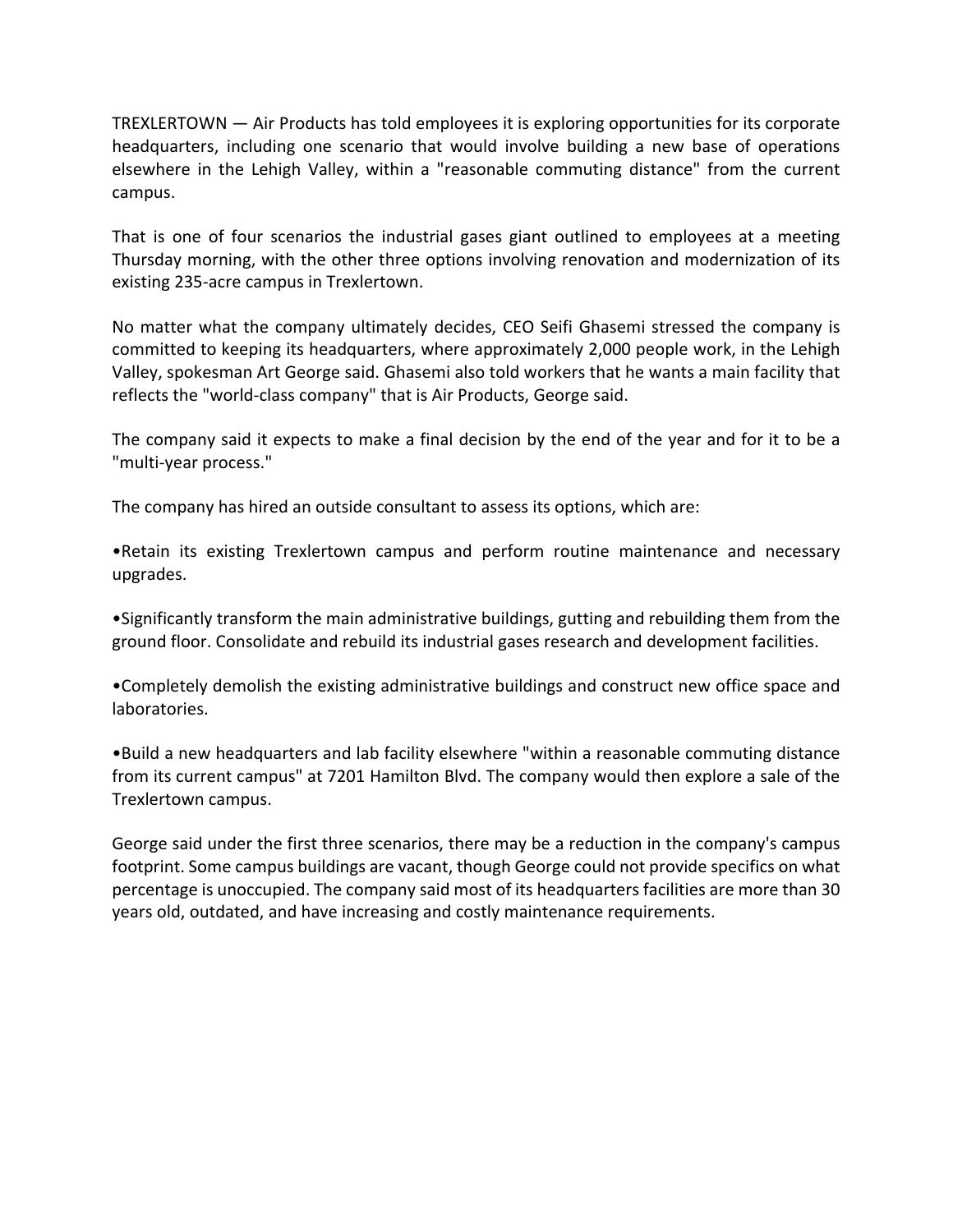TREXLERTOWN — Air Products has told employees it is exploring opportunities for its corporate headquarters, including one scenario that would involve building a new base of operations elsewhere in the Lehigh Valley, within a "reasonable commuting distance" from the current campus.

That is one of four scenarios the industrial gases giant outlined to employees at a meeting Thursday morning, with the other three options involving renovation and modernization of its existing 235‐acre campus in Trexlertown.

No matter what the company ultimately decides, CEO Seifi Ghasemi stressed the company is committed to keeping its headquarters, where approximately 2,000 people work, in the Lehigh Valley, spokesman Art George said. Ghasemi also told workers that he wants a main facility that reflects the "world-class company" that is Air Products, George said.

The company said it expects to make a final decision by the end of the year and for it to be a "multi‐year process."

The company has hired an outside consultant to assess its options, which are:

•Retain its existing Trexlertown campus and perform routine maintenance and necessary upgrades.

•Significantly transform the main administrative buildings, gutting and rebuilding them from the ground floor. Consolidate and rebuild its industrial gases research and development facilities.

•Completely demolish the existing administrative buildings and construct new office space and laboratories.

•Build a new headquarters and lab facility elsewhere "within a reasonable commuting distance from its current campus" at 7201 Hamilton Blvd. The company would then explore a sale of the Trexlertown campus.

George said under the first three scenarios, there may be a reduction in the company's campus footprint. Some campus buildings are vacant, though George could not provide specifics on what percentage is unoccupied. The company said most of its headquarters facilities are more than 30 years old, outdated, and have increasing and costly maintenance requirements.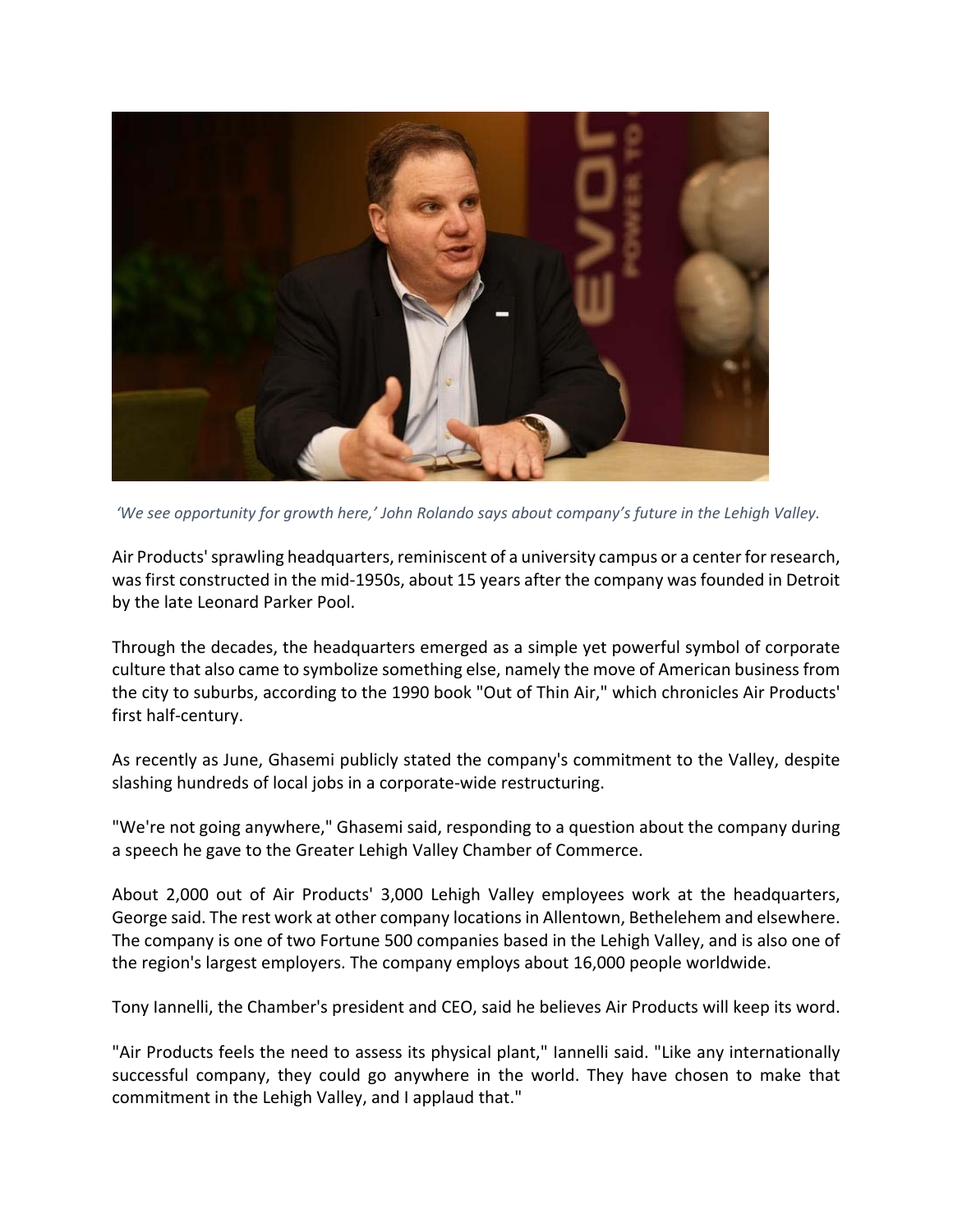

*'We see opportunity for growth here,' John Rolando says about company's future in the Lehigh Valley.*

Air Products' sprawling headquarters, reminiscent of a university campus or a center for research, was first constructed in the mid-1950s, about 15 years after the company was founded in Detroit by the late Leonard Parker Pool.

Through the decades, the headquarters emerged as a simple yet powerful symbol of corporate culture that also came to symbolize something else, namely the move of American business from the city to suburbs, according to the 1990 book "Out of Thin Air," which chronicles Air Products' first half‐century.

As recently as June, Ghasemi publicly stated the company's commitment to the Valley, despite slashing hundreds of local jobs in a corporate‐wide restructuring.

"We're not going anywhere," Ghasemi said, responding to a question about the company during a speech he gave to the Greater Lehigh Valley Chamber of Commerce.

About 2,000 out of Air Products' 3,000 Lehigh Valley employees work at the headquarters, George said. The rest work at other company locationsin Allentown, Bethelehem and elsewhere. The company is one of two Fortune 500 companies based in the Lehigh Valley, and is also one of the region's largest employers. The company employs about 16,000 people worldwide.

Tony Iannelli, the Chamber's president and CEO, said he believes Air Products will keep its word.

"Air Products feels the need to assess its physical plant," Iannelli said. "Like any internationally successful company, they could go anywhere in the world. They have chosen to make that commitment in the Lehigh Valley, and I applaud that."